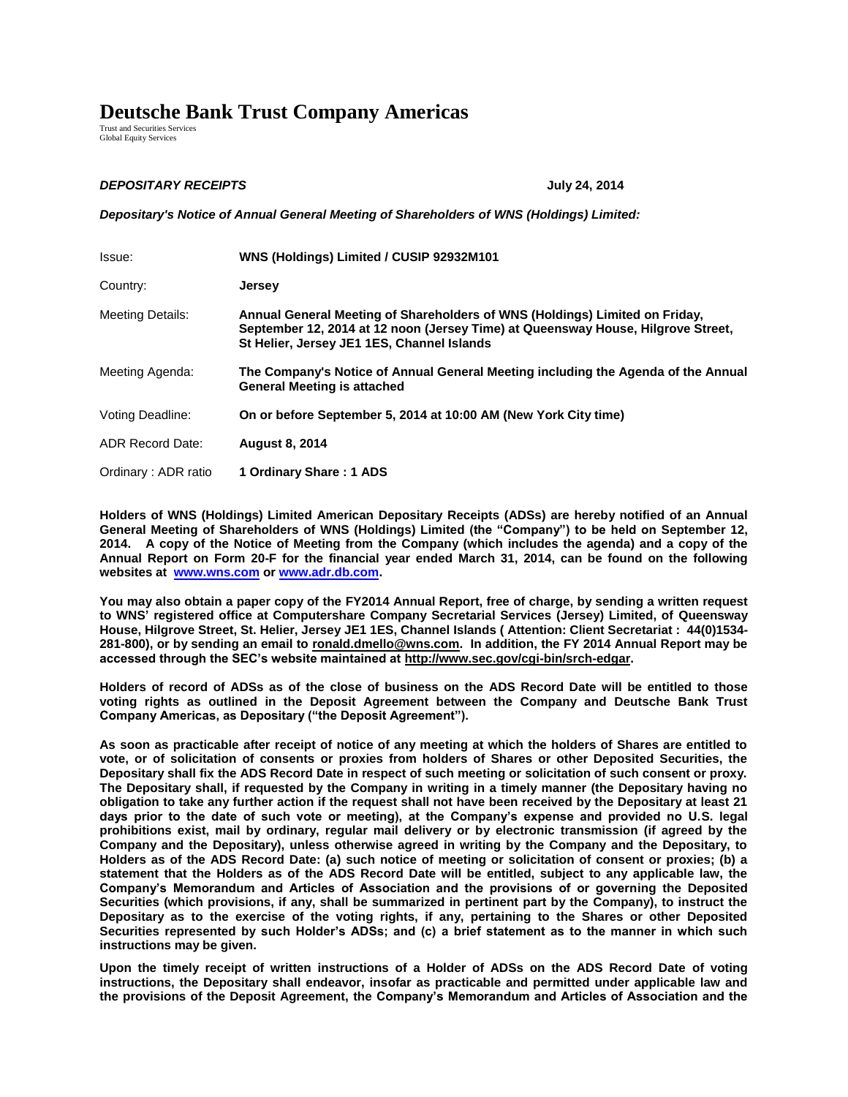## **Deutsche Bank Trust Company Americas**

Trust and Securities Services Global Equity Services

## *DEPOSITARY RECEIPTS* **July 24, 2014**

*Depositary's Notice of Annual General Meeting of Shareholders of WNS (Holdings) Limited:*

| Issue:                  | WNS (Holdings) Limited / CUSIP 92932M101                                                                                                                                                                      |
|-------------------------|---------------------------------------------------------------------------------------------------------------------------------------------------------------------------------------------------------------|
| Country:                | <b>Jersey</b>                                                                                                                                                                                                 |
| <b>Meeting Details:</b> | Annual General Meeting of Shareholders of WNS (Holdings) Limited on Friday,<br>September 12, 2014 at 12 noon (Jersey Time) at Queensway House, Hilgrove Street,<br>St Helier, Jersey JE1 1ES, Channel Islands |
| Meeting Agenda:         | The Company's Notice of Annual General Meeting including the Agenda of the Annual<br><b>General Meeting is attached</b>                                                                                       |
| Voting Deadline:        | On or before September 5, 2014 at 10:00 AM (New York City time)                                                                                                                                               |
| <b>ADR Record Date:</b> | <b>August 8, 2014</b>                                                                                                                                                                                         |
| Ordinary: ADR ratio     | 1 Ordinary Share: 1 ADS                                                                                                                                                                                       |

**Holders of WNS (Holdings) Limited American Depositary Receipts (ADSs) are hereby notified of an Annual General Meeting of Shareholders of WNS (Holdings) Limited (the "Company") to be held on September 12, 2014. A copy of the Notice of Meeting from the Company (which includes the agenda) and a copy of the Annual Report on Form 20-F for the financial year ended March 31, 2014, can be found on the following websites at [www.wns.com](http://www.wnsgs.com/) o[r www.adr.db.com.](http://www.adr.db.com/)** 

**You may also obtain a paper copy of the FY2014 Annual Report, free of charge, by sending a written request to WNS' registered office at Computershare Company Secretarial Services (Jersey) Limited, of Queensway House, Hilgrove Street, St. Helier, Jersey JE1 1ES, Channel Islands ( Attention: Client Secretariat : 44(0)1534- 281-800), or by sending an email to ronald.dmello@wns.com. In addition, the FY 2014 Annual Report may be accessed through the SEC's website maintained at http://www.sec.gov/cgi-bin/srch-edgar.** 

**Holders of record of ADSs as of the close of business on the ADS Record Date will be entitled to those voting rights as outlined in the Deposit Agreement between the Company and Deutsche Bank Trust Company Americas, as Depositary ("the Deposit Agreement").** 

**As soon as practicable after receipt of notice of any meeting at which the holders of Shares are entitled to vote, or of solicitation of consents or proxies from holders of Shares or other Deposited Securities, the Depositary shall fix the ADS Record Date in respect of such meeting or solicitation of such consent or proxy. The Depositary shall, if requested by the Company in writing in a timely manner (the Depositary having no obligation to take any further action if the request shall not have been received by the Depositary at least 21 days prior to the date of such vote or meeting), at the Company's expense and provided no U.S. legal prohibitions exist, mail by ordinary, regular mail delivery or by electronic transmission (if agreed by the Company and the Depositary), unless otherwise agreed in writing by the Company and the Depositary, to Holders as of the ADS Record Date: (a) such notice of meeting or solicitation of consent or proxies; (b) a statement that the Holders as of the ADS Record Date will be entitled, subject to any applicable law, the Company's Memorandum and Articles of Association and the provisions of or governing the Deposited Securities (which provisions, if any, shall be summarized in pertinent part by the Company), to instruct the Depositary as to the exercise of the voting rights, if any, pertaining to the Shares or other Deposited Securities represented by such Holder's ADSs; and (c) a brief statement as to the manner in which such instructions may be given.** 

**Upon the timely receipt of written instructions of a Holder of ADSs on the ADS Record Date of voting instructions, the Depositary shall endeavor, insofar as practicable and permitted under applicable law and the provisions of the Deposit Agreement, the Company's Memorandum and Articles of Association and the**